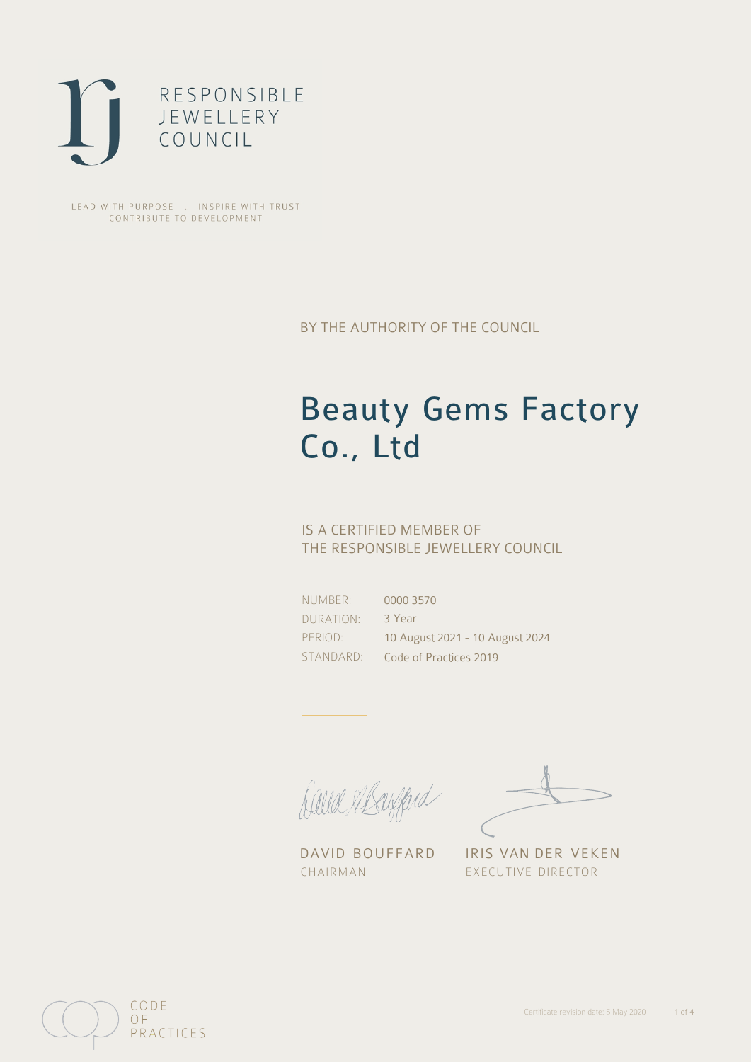

LEAD WITH PURPOSE . INSPIRE WITH TRUST CONTRIBUTE TO DEVELOPMENT

BY THE AUTHORITY OF THE COUNCIL

# Beauty Gems Factory Co., Ltd

## IS A CERTIFIED MEMBER OF THE RESPONSIBLE JEWELLERY COUNCIL

NUMBER: DURATION: PERIOD: STANDARD:

0000 3570 3 Year 10 August 2021 - 10 August 2024 Code of Practices 2019

Balla Shayfard

DAVID BOUFFARD IRIS VAN DER VEKEN CHAIRMAN EXECUTIVE DIRECTOR

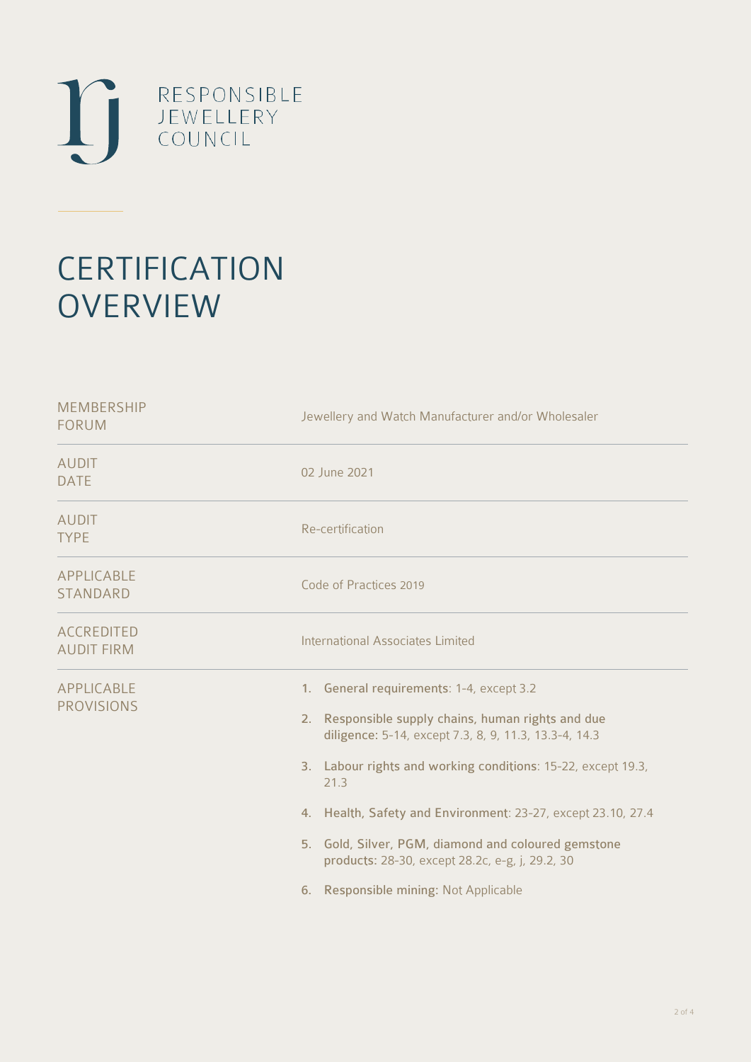

# **CERTIFICATION OVERVIEW**

| <b>MEMBERSHIP</b><br><b>FORUM</b>      | Jewellery and Watch Manufacturer and/or Wholesaler                                                                                                                                                                                                                                                                                                                                                                                                    |
|----------------------------------------|-------------------------------------------------------------------------------------------------------------------------------------------------------------------------------------------------------------------------------------------------------------------------------------------------------------------------------------------------------------------------------------------------------------------------------------------------------|
| <b>AUDIT</b><br><b>DATE</b>            | 02 June 2021                                                                                                                                                                                                                                                                                                                                                                                                                                          |
| <b>AUDIT</b><br><b>TYPE</b>            | Re-certification                                                                                                                                                                                                                                                                                                                                                                                                                                      |
| APPLICABLE<br><b>STANDARD</b>          | Code of Practices 2019                                                                                                                                                                                                                                                                                                                                                                                                                                |
| <b>ACCREDITED</b><br><b>AUDIT FIRM</b> | <b>International Associates Limited</b>                                                                                                                                                                                                                                                                                                                                                                                                               |
| APPLICABLE<br><b>PROVISIONS</b>        | 1. General requirements: 1-4, except 3.2<br>2. Responsible supply chains, human rights and due<br>diligence: 5-14, except 7.3, 8, 9, 11.3, 13.3-4, 14.3<br>3. Labour rights and working conditions: 15-22, except 19.3,<br>21.3<br>4. Health, Safety and Environment: 23-27, except 23.10, 27.4<br>5. Gold, Silver, PGM, diamond and coloured gemstone<br>products: 28-30, except 28.2c, e-g, j, 29.2, 30<br>Responsible mining: Not Applicable<br>6. |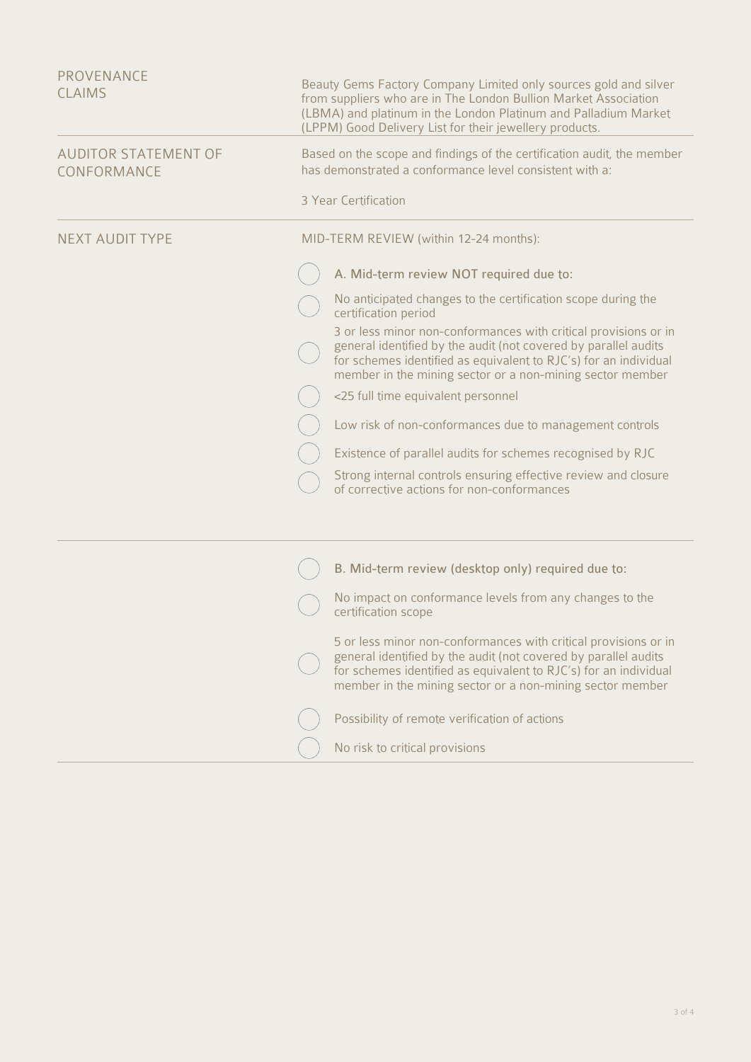| PROVENANCE                                 |                                                                                                                                                                                                                                                                     |
|--------------------------------------------|---------------------------------------------------------------------------------------------------------------------------------------------------------------------------------------------------------------------------------------------------------------------|
| <b>CLAIMS</b>                              | Beauty Gems Factory Company Limited only sources gold and silver<br>from suppliers who are in The London Bullion Market Association<br>(LBMA) and platinum in the London Platinum and Palladium Market<br>(LPPM) Good Delivery List for their jewellery products.   |
| <b>AUDITOR STATEMENT OF</b><br>CONFORMANCE | Based on the scope and findings of the certification audit, the member<br>has demonstrated a conformance level consistent with a:                                                                                                                                   |
|                                            | 3 Year Certification                                                                                                                                                                                                                                                |
| <b>NEXT AUDIT TYPE</b>                     | MID-TERM REVIEW (within 12-24 months):                                                                                                                                                                                                                              |
|                                            | A. Mid-term review NOT required due to:                                                                                                                                                                                                                             |
|                                            | No anticipated changes to the certification scope during the<br>certification period                                                                                                                                                                                |
|                                            | 3 or less minor non-conformances with critical provisions or in<br>general identified by the audit (not covered by parallel audits<br>for schemes identified as equivalent to RJC's) for an individual<br>member in the mining sector or a non-mining sector member |
|                                            | <25 full time equivalent personnel                                                                                                                                                                                                                                  |
|                                            | Low risk of non-conformances due to management controls                                                                                                                                                                                                             |
|                                            | Existence of parallel audits for schemes recognised by RJC                                                                                                                                                                                                          |
|                                            | Strong internal controls ensuring effective review and closure<br>of corrective actions for non-conformances                                                                                                                                                        |
|                                            |                                                                                                                                                                                                                                                                     |
|                                            | B. Mid-term review (desktop only) required due to:                                                                                                                                                                                                                  |
|                                            | No impact on conformance levels from any changes to the<br>certification scope                                                                                                                                                                                      |
|                                            | 5 or less minor non-conformances with critical provisions or in<br>general identified by the audit (not covered by parallel audits<br>for schemes identified as equivalent to RJC's) for an individual<br>member in the mining sector or a non-mining sector member |
|                                            | Possibility of remote verification of actions                                                                                                                                                                                                                       |
|                                            | No risk to critical provisions                                                                                                                                                                                                                                      |